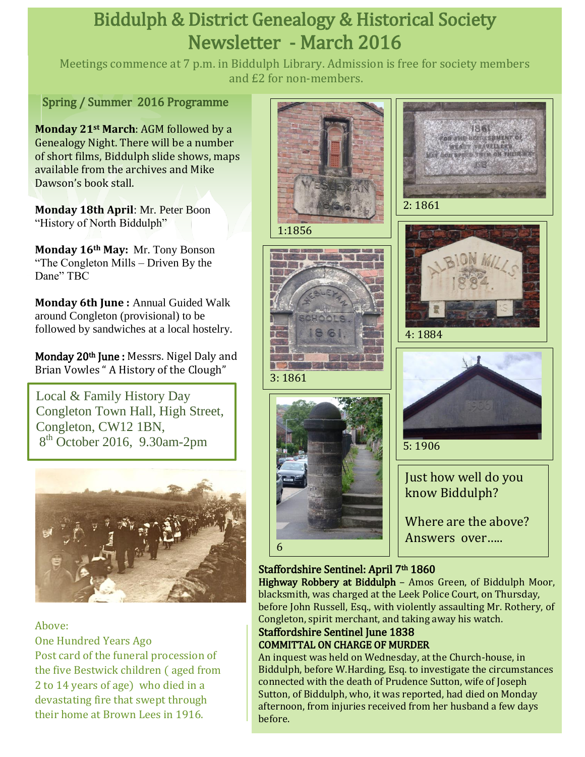# Biddulph & District Genealogy & Historical Society Newsletter - March 2016

Meetings commence at 7 p.m. in Biddulph Library. Admission is free for society members and £2 for non-members.

Spring / Summer 2016 Programme

**Monday 21st March**: AGM followed by a Genealogy Night. There will be a number of short films, Biddulph slide shows, maps available from the archives and Mike Dawson's book stall.

**Monday 18th April**: Mr. Peter Boon "History of North Biddulph"

**Monday 16th May:** Mr. Tony Bonson "The Congleton Mills – Driven By the Dane" TBC

**Monday 6th June :** Annual Guided Walk around Congleton (provisional) to be followed by sandwiches at a local hostelry.

Monday 20<sup>th</sup> June: Messrs. Nigel Daly and Brian Vowles " A History of the Clough"

Local & Family History Day Congleton Town Hall, High Street, Congleton, CW12 1BN, 8 th October 2016, 9.30am-2pm



### Above:

 Post card of the funeral procession of One Hundred Years Ago the five Bestwick children ( aged from 2 to 14 years of age) who died in a devastating fire that swept through their home at Brown Lees in 1916.











Just how well do you know Biddulph?

Where are the above? Answers over…..

### Staffordshire Sentinel: April 7<sup>th</sup> 1860

Highway Robbery at Biddulph – Amos Green, of Biddulph Moor, blacksmith, was charged at the Leek Police Court, on Thursday, before John Russell, Esq., with violently assaulting Mr. Rothery, of Congleton, spirit merchant, and taking away his watch.

### Staffordshire Sentinel June 1838 COMMITTAL ON CHARGE OF MURDER

An inquest was held on Wednesday, at the Church-house, in Biddulph, before W.Harding, Esq. to investigate the circumstances connected with the death of Prudence Sutton, wife of Joseph Sutton, of Biddulph, who, it was reported, had died on Monday afternoon, from injuries received from her husband a few days before.